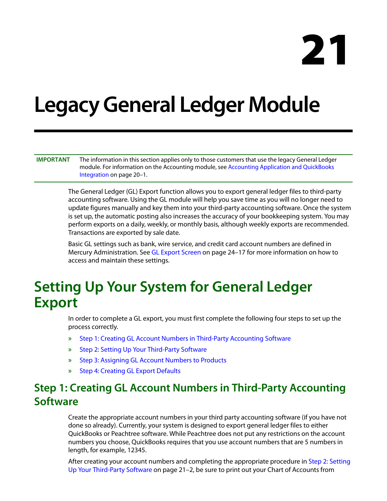# **21**

## **Legacy General Ledger Module**

**IMPORTANT** The information in this section applies only to those customers that use the legacy General Ledger module. For information on the Accounting module, see Accounting Application and QuickBooks Integration on page 20–1.

> The General Ledger (GL) Export function allows you to export general ledger files to third-party accounting software. Using the GL module will help you save time as you will no longer need to update figures manually and key them into your third-party accounting software. Once the system is set up, the automatic posting also increases the accuracy of your bookkeeping system. You may perform exports on a daily, weekly, or monthly basis, although weekly exports are recommended. Transactions are exported by sale date.

Basic GL settings such as bank, wire service, and credit card account numbers are defined in Mercury Administration. See GL Export Screen on page 24–17 for more information on how to access and maintain these settings.

### **Setting Up Your System for General Ledger Export**

In order to complete a GL export, you must first complete the following four steps to set up the process correctly.

- **»** Step 1: Creating GL Account Numbers in Third-Party Accounting Software
- **»** Step 2: Setting Up Your Third-Party Software
- **»** Step 3: Assigning GL Account Numbers to Products
- **»** Step 4: Creating GL Export Defaults

#### **Step 1: Creating GL Account Numbers in Third-Party Accounting Software**

Create the appropriate account numbers in your third party accounting software (if you have not done so already). Currently, your system is designed to export general ledger files to either QuickBooks or Peachtree software. While Peachtree does not put any restrictions on the account numbers you choose, QuickBooks requires that you use account numbers that are 5 numbers in length, for example, 12345.

After creating your account numbers and completing the appropriate procedure in Step 2: Setting Up Your Third-Party Software on page 21–2, be sure to print out your Chart of Accounts from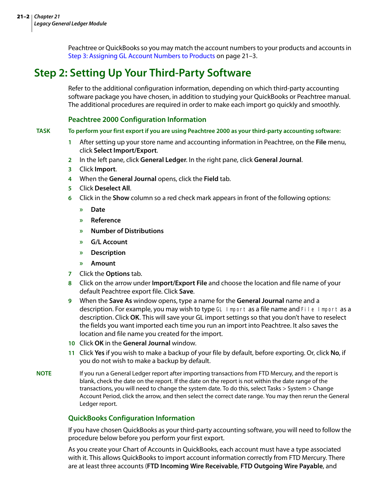Peachtree or QuickBooks so you may match the account numbers to your products and accounts in Step 3: Assigning GL Account Numbers to Products on page 21–3.

#### **Step 2: Setting Up Your Third-Party Software**

Refer to the additional configuration information, depending on which third-party accounting software package you have chosen, in addition to studying your QuickBooks or Peachtree manual. The additional procedures are required in order to make each import go quickly and smoothly.

#### **Peachtree 2000 Configuration Information**

**TASK To perform your first export if you are using Peachtree 2000 as your third-party accounting software:**

- **1** After setting up your store name and accounting information in Peachtree, on the **File** menu, click **Select Import/Export**.
- **2** In the left pane, click **General Ledger**. In the right pane, click **General Journal**.
- **3** Click **Import**.
- **4** When the **General Journal** opens, click the **Field** tab.
- **5** Click **Deselect All**.
- **6** Click in the **Show** column so a red check mark appears in front of the following options:
	- **» Date**
	- **» Reference**
	- **» Number of Distributions**
	- **» G/L Account**
	- **» Description**
	- **» Amount**
- **7** Click the **Options** tab.
- **8** Click on the arrow under **Import/Export File** and choose the location and file name of your default Peachtree export file. Click **Save**.
- **9** When the **Save As** window opens, type a name for the **General Journal** name and a description. For example, you may wish to type GL Import as a file name and File Import as a description. Click **OK**. This will save your GL import settings so that you don't have to reselect the fields you want imported each time you run an import into Peachtree. It also saves the location and file name you created for the import.
- **10** Click **OK** in the **General Journal** window.
- **11** Click **Yes** if you wish to make a backup of your file by default, before exporting. Or, click **No**, if you do not wish to make a backup by default.
- **NOTE** If you run a General Ledger report after importing transactions from FTD Mercury, and the report is blank, check the date on the report. If the date on the report is not within the date range of the transactions, you will need to change the system date. To do this, select Tasks > System > Change Account Period, click the arrow, and then select the correct date range. You may then rerun the General Ledger report.

#### **QuickBooks Configuration Information**

If you have chosen QuickBooks as your third-party accounting software, you will need to follow the procedure below before you perform your first export.

As you create your Chart of Accounts in QuickBooks, each account must have a type associated with it. This allows QuickBooks to import account information correctly from FTD Mercury. There are at least three accounts (**FTD Incoming Wire Receivable**, **FTD Outgoing Wire Payable**, and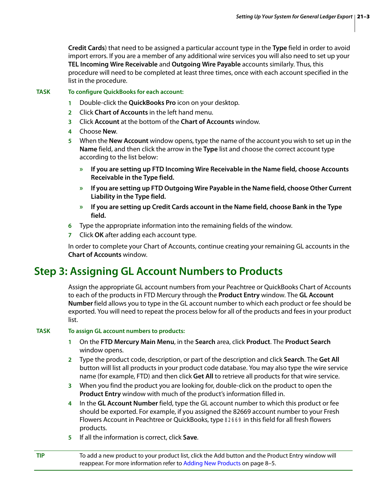**Credit Cards**) that need to be assigned a particular account type in the **Type** field in order to avoid import errors. If you are a member of any additional wire services you will also need to set up your **TEL Incoming Wire Receivable** and **Outgoing Wire Payable** accounts similarly. Thus, this procedure will need to be completed at least three times, once with each account specified in the list in the procedure.

#### **TASK To configure QuickBooks for each account:**

- **1** Double-click the **QuickBooks Pro** icon on your desktop.
- **2** Click **Chart of Accounts** in the left hand menu.
- **3** Click **Account** at the bottom of the **Chart of Accounts** window.
- **4** Choose **New**.
- **5** When the **New Account** window opens, type the name of the account you wish to set up in the **Name** field, and then click the arrow in the **Type** list and choose the correct account type according to the list below:
	- **» If you are setting up FTD Incoming Wire Receivable in the Name field, choose Accounts Receivable in the Type field.**
	- **» If you are setting up FTD Outgoing Wire Payable in the Name field, choose Other Current Liability in the Type field.**
	- **» If you are setting up Credit Cards account in the Name field, choose Bank in the Type field.**
- **6** Type the appropriate information into the remaining fields of the window.
- **7** Click **OK** after adding each account type.

In order to complete your Chart of Accounts, continue creating your remaining GL accounts in the **Chart of Accounts** window.

#### **Step 3: Assigning GL Account Numbers to Products**

Assign the appropriate GL account numbers from your Peachtree or QuickBooks Chart of Accounts to each of the products in FTD Mercury through the **Product Entry** window. The **GL Account Number** field allows you to type in the GL account number to which each product or fee should be exported. You will need to repeat the process below for all of the products and fees in your product list.

#### **TASK To assign GL account numbers to products:**

- **1** On the **FTD Mercury Main Menu**, in the **Search** area, click **Product**. The **Product Search** window opens.
- **2** Type the product code, description, or part of the description and click **Search**. The **Get All** button will list all products in your product code database. You may also type the wire service name (for example, FTD) and then click **Get All** to retrieve all products for that wire service.
- **3** When you find the product you are looking for, double-click on the product to open the **Product Entry** window with much of the product's information filled in.
- **4** In the **GL Account Number** field, type the GL account number to which this product or fee should be exported. For example, if you assigned the 82669 account number to your Fresh Flowers Account in Peachtree or QuickBooks, type 82669 in this field for all fresh flowers products.
- **5** If all the information is correct, click **Save**.

**TIP** To add a new product to your product list, click the Add button and the Product Entry window will reappear. For more information refer to Adding New Products on page 8–5.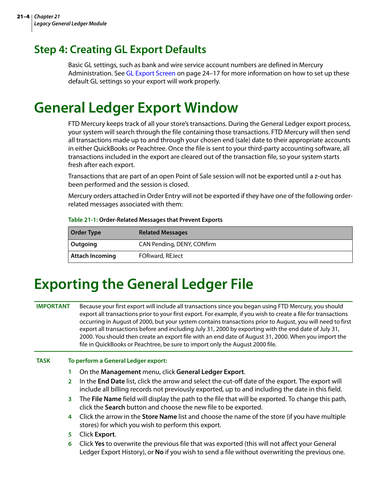#### **Step 4: Creating GL Export Defaults**

Basic GL settings, such as bank and wire service account numbers are defined in Mercury Administration. See GL Export Screen on page 24–17 for more information on how to set up these default GL settings so your export will work properly.

#### **General Ledger Export Window**

FTD Mercury keeps track of all your store's transactions. During the General Ledger export process, your system will search through the file containing those transactions. FTD Mercury will then send all transactions made up to and through your chosen end (sale) date to their appropriate accounts in either QuickBooks or Peachtree. Once the file is sent to your third-party accounting software, all transactions included in the export are cleared out of the transaction file, so your system starts fresh after each export.

Transactions that are part of an open Point of Sale session will not be exported until a z-out has been performed and the session is closed.

Mercury orders attached in Order Entry will not be exported if they have one of the following orderrelated messages associated with them:

#### **Table 21-1: Order-Related Messages that Prevent Exports**

| <b>Order Type</b>      | <b>Related Messages</b>    |
|------------------------|----------------------------|
| Outgoing               | CAN Pending, DENY, CONfirm |
| <b>Attach Incoming</b> | FORward, REJect            |

#### **Exporting the General Ledger File**

**IMPORTANT** Because your first export will include all transactions since you began using FTD Mercury, you should export all transactions prior to your first export. For example, if you wish to create a file for transactions occurring in August of 2000, but your system contains transactions prior to August, you will need to first export all transactions before and including July 31, 2000 by exporting with the end date of July 31, 2000. You should then create an export file with an end date of August 31, 2000. When you import the file in QuickBooks or Peachtree, be sure to import only the August 2000 file.

#### **TASK To perform a General Ledger export:**

- **1** On the **Management** menu, click **General Ledger Export**.
- **2** In the **End Date** list, click the arrow and select the cut-off date of the export. The export will include all billing records not previously exported, up to and including the date in this field.
- **3** The **File Name** field will display the path to the file that will be exported. To change this path, click the **Search** button and choose the new file to be exported.
- **4** Click the arrow in the **Store Name** list and choose the name of the store (if you have multiple stores) for which you wish to perform this export.
- **5** Click **Export**.
- **6** Click **Yes** to overwrite the previous file that was exported (this will not affect your General Ledger Export History), or **No** if you wish to send a file without overwriting the previous one.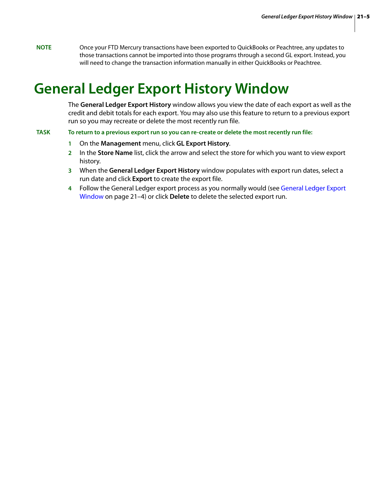**NOTE** Once your FTD Mercury transactions have been exported to QuickBooks or Peachtree, any updates to those transactions cannot be imported into those programs through a second GL export. Instead, you will need to change the transaction information manually in either QuickBooks or Peachtree.

#### **General Ledger Export History Window**

The **General Ledger Export History** window allows you view the date of each export as well as the credit and debit totals for each export. You may also use this feature to return to a previous export run so you may recreate or delete the most recently run file.

**TASK To return to a previous export run so you can re-create or delete the most recently run file:**

- **1** On the **Management** menu, click **GL Export History**.
- **2** In the **Store Name** list, click the arrow and select the store for which you want to view export history.
- **3** When the **General Ledger Export History** window populates with export run dates, select a run date and click **Export** to create the export file.
- **4** Follow the General Ledger export process as you normally would (see General Ledger Export Window on page 21–4) or click **Delete** to delete the selected export run.